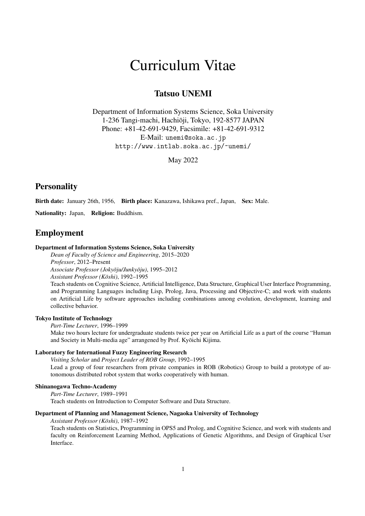# Curriculum Vitae

# Tatsuo UNEMI

Department of Information Systems Science, Soka University 1-236 Tangi-machi, Hachioji, Tokyo, 192-8577 JAPAN ¯ Phone: +81-42-691-9429, Facsimile: +81-42-691-9312 E-Mail: unemi@soka.ac.jp http://www.intlab.soka.ac.jp/~unemi/

May 2022

# **Personality**

Birth date: January 26th, 1956, Birth place: Kanazawa, Ishikawa pref., Japan, Sex: Male.

Nationality: Japan, Religion: Buddhism.

# Employment

### Department of Information Systems Science, Soka University

*Dean of Faculty of Science and Engineering*, 2015–2020 *Professor*, 2012–Present *Associate Professor (Jokyoju/Junky ¯ oju) ¯* , 1995–2012

*Assistant Professor (Koshi) ¯* , 1992–1995

Teach students on Cognitive Science, Artificial Intelligence, Data Structure, Graphical User Interface Programming, and Programming Languages including Lisp, Prolog, Java, Processing and Objective-C; and work with students on Artificial Life by software approaches including combinations among evolution, development, learning and collective behavior.

# Tokyo Institute of Technology

*Part-Time Lecturer*, 1996–1999

Make two hours lecture for undergraduate students twice per year on Artificial Life as a part of the course "Human and Society in Multi-media age" arrangened by Prof. Kyoichi Kijima. ¯

# Laboratory for International Fuzzy Engineering Research

*Visiting Scholar* and *Project Leader of ROB Group*, 1992–1995 Lead a group of four researchers from private companies in ROB (Robotics) Group to build a prototype of autonomous distributed robot system that works cooperatively with human.

### Shinanogawa Techno-Academy

*Part-Time Lecturer*, 1989–1991

Teach students on Introduction to Computer Software and Data Structure.

# Department of Planning and Management Science, Nagaoka University of Technology

*Assistant Professor (Koshi) ¯* , 1987–1992

Teach students on Statistics, Programming in OPS5 and Prolog, and Cognitive Science, and work with students and faculty on Reinforcement Learning Method, Applications of Genetic Algorithms, and Design of Graphical User Interface.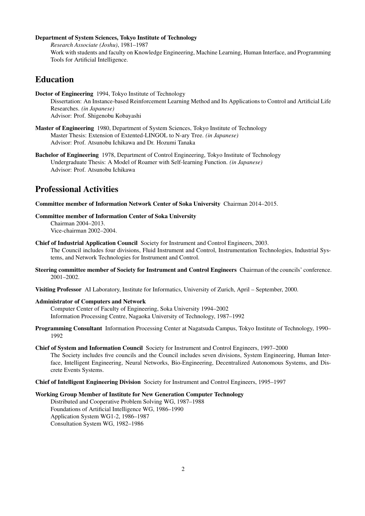# Department of System Sciences, Tokyo Institute of Technology

*Research Associate (Joshu)*, 1981–1987 Work with students and faculty on Knowledge Engineering, Machine Learning, Human Interface, and Programming Tools for Artificial Intelligence.

# Education

Doctor of Engineering 1994, Tokyo Institute of Technology Dissertation: An Instance-based Reinforcement Learning Method and Its Applications to Control and Artificial Life Researches. *(in Japanese)* Advisor: Prof. Shigenobu Kobayashi

- Master of Engineering 1980, Department of System Sciences, Tokyo Institute of Technology Master Thesis: Extension of Extented-LINGOL to N-ary Tree. *(in Japanese)* Advisor: Prof. Atsunobu Ichikawa and Dr. Hozumi Tanaka
- Bachelor of Engineering 1978, Department of Control Engineering, Tokyo Institute of Technology Undergraduate Thesis: A Model of Roamer with Self-learning Function. *(in Japanese)* Advisor: Prof. Atsunobu Ichikawa

# Professional Activities

Committee member of Information Network Center of Soka University Chairman 2014–2015.

### Committee member of Information Center of Soka University Chairman 2004–2013. Vice-chairman 2002–2004.

Chief of Industrial Application Council Society for Instrument and Control Engineers, 2003.

The Council includes four divisions, Fluid Instrument and Control, Instrumentation Technologies, Industrial Systems, and Network Technologies for Instrument and Control.

- Steering committee member of Society for Instrument and Control Engineers Chairman of the councils' conference. 2001–2002.
- Visiting Professor AI Laboratory, Institute for Informatics, University of Zurich, April September, 2000.

### Administrator of Computers and Network

Computer Center of Faculty of Engineering, Soka University 1994–2002 Information Processing Centre, Nagaoka University of Technology, 1987–1992

- Programming Consultant Information Processing Center at Nagatsuda Campus, Tokyo Institute of Technology, 1990– 1992
- Chief of System and Information Council Society for Instrument and Control Engineers, 1997–2000 The Society includes five councils and the Council includes seven divisions, System Engineering, Human Interface, Intelligent Engineering, Neural Networks, Bio-Engineering, Decentralized Autonomous Systems, and Discrete Events Systems.
- Chief of Intelligent Engineering Division Society for Instrument and Control Engineers, 1995–1997

# Working Group Member of Institute for New Generation Computer Technology

Distributed and Cooperative Problem Solving WG, 1987–1988 Foundations of Artificial Intelligence WG, 1986–1990 Application System WG1-2, 1986–1987 Consultation System WG, 1982–1986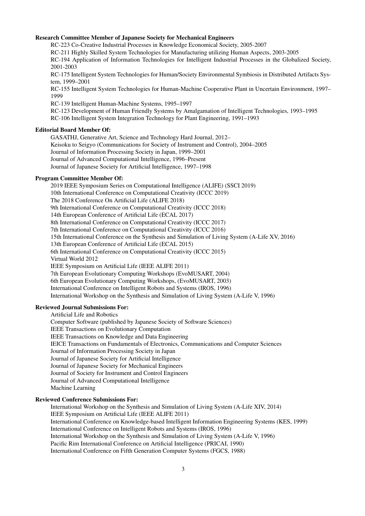# Research Committee Member of Japanese Society for Mechanical Engineers

RC-223 Co-Creative Industrial Processes in Knowledge Economical Society, 2005-2007 RC-211 Highly Skilled System Technologies for Manufacturing utilizing Human Aspects, 2003-2005 RC-194 Application of Information Technologies for Intelligent Industrial Processes in the Globalized Society, 2001-2003 RC-175 Intelligent System Technologies for Human/Society Environmental Symbiosis in Distributed Artifacts Sys-

tem, 1999–2001

RC-155 Intelligent System Technologies for Human-Machine Cooperative Plant in Uncertain Environment, 1997– 1999

RC-139 Intelligent Human-Machine Systems, 1995–1997

RC-123 Development of Human Friendly Systems by Amalgamation of Intelligent Technologies, 1993–1995 RC-106 Intelligent System Integration Technology for Plant Engineering, 1991–1993

### Editorial Board Member Of:

GASATHJ, Generative Art, Science and Technology Hard Journal, 2012– Keisoku to Seigyo (Communications for Society of Instrument and Control), 2004–2005 Journal of Information Processing Society in Japan, 1999–2001 Journal of Advanced Computational Intelligence, 1996–Present Journal of Japanese Society for Artificial Intelligence, 1997–1998

# Program Committee Member Of:

2019 IEEE Symposium Series on Computational Intelligence (ALIFE) (SSCI 2019) 10th International Conference on Computational Creativity (ICCC 2019) The 2018 Conference On Artificial Life (ALIFE 2018) 9th International Conference on Computational Creativity (ICCC 2018) 14th European Conference of Artificial Life (ECAL 2017) 8th International Conference on Computational Creativity (ICCC 2017) 7th International Conference on Computational Creativity (ICCC 2016) 15th International Conference on the Synthesis and Simulation of Living System (A-Life XV, 2016) 13th European Conference of Artificial Life (ECAL 2015) 6th International Conference on Computational Creativity (ICCC 2015) Virtual World 2012 IEEE Symposium on Artificial Life (IEEE ALIFE 2011) 7th European Evolutionary Computing Workshops (EvoMUSART, 2004) 6th European Evolutionary Computing Workshops, (EvoMUSART, 2003) International Conference on Intelligent Robots and Systems (IROS, 1996) International Workshop on the Synthesis and Simulation of Living System (A-Life V, 1996)

# Reviewed Journal Submissions For:

Artificial Life and Robotics Computer Software (published by Japanese Society of Software Sciences) IEEE Transactions on Evolutionary Computation IEEE Transactions on Knowledge and Data Engineering IEICE Transactions on Fundamentals of Electronics, Communications and Computer Sciences Journal of Information Processing Society in Japan Journal of Japanese Society for Artificial Intelligence Journal of Japanese Society for Mechanical Engineers Journal of Society for Instrument and Control Engineers Journal of Advanced Computational Intelligence Machine Learning

# Reviewed Conference Submissions For:

International Workshop on the Synthesis and Simulation of Living System (A-Life XIV, 2014) IEEE Symposium on Artificial Life (IEEE ALIFE 2011) International Conference on Knowledge-based Intelligent Information Engineering Systems (KES, 1999) International Conference on Intelligent Robots and Systems (IROS, 1996) International Workshop on the Synthesis and Simulation of Living System (A-Life V, 1996) Pacific Rim International Conference on Artificial Intelligence (PRICAI, 1990) International Conference on Fifth Generation Computer Systems (FGCS, 1988)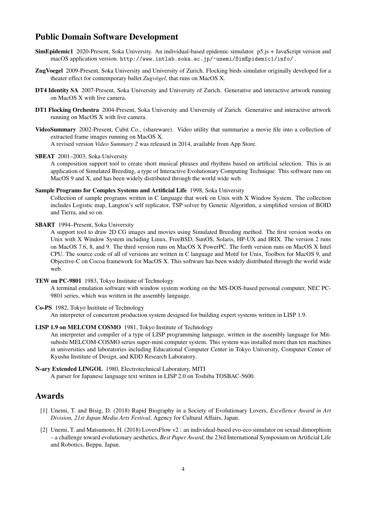# Public Domain Software Development

- SimEpidemic1 2020-Present, Soka University. An individual-based epidemic simulator. p5.js + JavaScript version and macOS application version. http://www.intlab.soka.ac.jp/~unemi/SimEpidemic1/info/ .
- ZugVoegel 2009-Present, Soka University and University of Zurich. Flocking birds simulator originally developed for a theater effect for contemporary ballet *Zugvögel*, that runs on MacOS X.
- DT4 Identity SA 2007-Present, Soka University and University of Zurich. Generative and interactive artwork running on MacOS X with live camera.
- DT1 Flocking Orchestra 2004-Present, Soka University and University of Zurich. Generative and interactive artwork running on MacOS X with live camera.
- VideoSummary 2002-Present, Cubit Co., (shareware). Video utility that summarize a movie file into a collection of extracted frame images running on MacOS X.

A revised version *Video Summary 2* was released in 2014, available from App Store.

### SBEAT 2001–2003, Soka University

A composition support tool to create short musical phrases and rhythms based on artificial selection. This is an application of Simulated Breeding, a type of Interactive Evolutionary Computing Technique. This software runs on MacOS 9 and X, and has been widely distributed through the world wide web.

#### Sample Programs for Complex Systems and Artificial Life 1998, Soka University

Collection of sample programs written in C language that work on Unix with X Window System. The collection includes Logistic map, Langton's self replicator, TSP solver by Genetic Algorithm, a simplified version of BOID and Tierra, and so on.

### SBART 1994–Present, Soka University

A support tool to draw 2D CG images and movies using Simulated Breeding method. The first version works on Unix with X Window System including Linux, FreeBSD, SunOS, Solaris, HP-UX and IRIX. The version 2 runs on MacOS 7.6, 8, and 9. The third version runs on MacOS X PowerPC. The forth version runs on MacOS X Intel CPU. The source code of all of versions are written in C language and Motif for Unix, Toolbox for MacOS 9, and Objective-C on Cocoa framework for MacOS X. This software has been widely distributed through the world wide web.

### TEW on PC-9801 1983, Tokyo Institute of Technology

A terminal emulation software with window system working on the MS-DOS-based personal computer, NEC PC-9801 series, which was written in the assembly language.

#### Co-PS 1982, Tokyo Institute of Technology

An interpreter of concurrent production system designed for building expert systems written in LISP 1.9.

### LISP 1.9 on MELCOM COSMO 1981, Tokyo Institute of Technology

An interpreter and compiler of a type of LISP programming language, written in the assembly language for Mitsubishi MELCOM-COSMO series super-mini computer system. This system was installed more than ten machines in universities and laboratories including Educational Computer Center in Tokyo University, Computer Center of Kyushu Institute of Design, and KDD Research Laboratory.

### N-ary Extended LINGOL 1980, Electrotechnical Laboratory, MITI

A parser for Japanese language text written in LISP 2.0 on Toshiba TOSBAC-5600.

# Awards

- [1] Unemi, T. and Bisig, D. (2018) Rapid Biography in a Society of Evolutionary Lovers, *Excellence Award in Art Division, 21st Japan Media Arts Festival*, Agency for Cultural Affairs, Japan.
- [2] Unemi, T. and Matsumoto, H. (2018) LoversFlow v2 : an individual-based evo-eco simulator on sexual dimorphism – a challenge toward evolutionary aesthetics, *Best Paper Award*, the 23rd International Symposium on Artificial Life and Robotics, Beppu, Japan.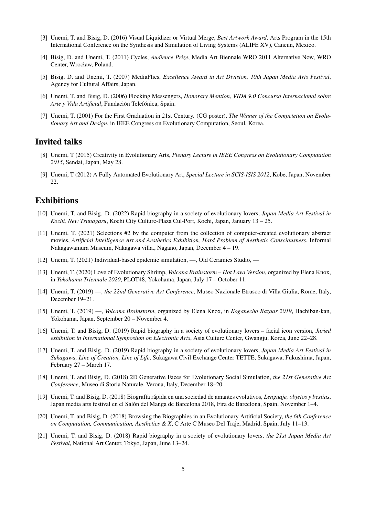- [3] Unemi, T. and Bisig, D. (2016) Visual Liquidizer or Virtual Merge, *Best Artwork Award*, Arts Program in the 15th International Conference on the Synthesis and Simulation of Living Systems (ALIFE XV), Cancun, Mexico.
- [4] Bisig, D. and Unemi, T. (2011) Cycles, *Audience Prize*, Media Art Biennale WRO 2011 Alternative Now, WRO Center, Wrocław, Poland.
- [5] Bisig, D. and Unemi, T. (2007) MediaFlies, *Excellence Award in Art Division, 10th Japan Media Arts Festival*, Agency for Cultural Affairs, Japan.
- [6] Unemi, T. and Bisig, D. (2006) Flocking Messengers, *Honorary Mention, VIDA 9.0 Concurso Internacional sobre Arte y Vida Artificial*, Fundación Telefónica, Spain.
- [7] Unemi, T. (2001) For the First Graduation in 21st Century. (CG poster), *The Winner of the Competetion on Evolutionary Art and Design*, in IEEE Congress on Evolutionary Computation, Seoul, Korea.

# Invited talks

- [8] Unemi, T (2015) Creativity in Evolutionary Arts, *Plenary Lecture in IEEE Congress on Evolutionary Computation 2015*, Sendai, Japan, May 28.
- [9] Unemi, T (2012) A Fully Automated Evolutionary Art, *Special Lecture in SCIS-ISIS 2012*, Kobe, Japan, November 22.

# Exhibitions

- [10] Unemi, T. and Bisig. D. (2022) Rapid biography in a society of evolutionary lovers, *Japan Media Art Festival in Kochi, New Tsunagaru*, Kochi City Culture-Plaza Cul-Port, Kochi, Japan, January 13 – 25.
- [11] Unemi, T. (2021) Selections #2 by the computer from the collection of computer-created evolutionary abstract movies, *Artificial Intelligence Art and Aesthetics Exhibition, Hard Problem of Aesthetic Consciousness*, Informal Nakagawamura Museum, Nakagawa villa., Nagano, Japan, December 4 – 19.
- [12] Unemi, T. (2021) Individual-based epidemic simulation, —, Old Ceramics Studio, —
- [13] Unemi, T. (2020) Love of Evolutionary Shrimp, *Volcana Brainstorm Hot Lava Version*, organized by Elena Knox, in *Yokohama Triennale 2020*, PLOT48, Yokohama, Japan, July 17 – October 11.
- [14] Unemi, T. (2019) —, *the 22nd Generative Art Conference*, Museo Nazionale Etrusco di Villa Giulia, Rome, Italy, December 19–21.
- [15] Unemi, T. (2019) —, *Volcana Brainstorm*, organized by Elena Knox, in *Koganecho Bazaar 2019*, Hachiban-kan, Yokohama, Japan, September 20 – November 4.
- [16] Unemi, T. and Bisig, D. (2019) Rapid biography in a society of evolutionary lovers facial icon version, *Juried exhibition in International Symposium on Electronic Arts*, Asia Culture Center, Gwangju, Korea, June 22–28.
- [17] Unemi, T. and Bisig. D. (2019) Rapid biography in a society of evolutionary lovers, *Japan Media Art Festival in Sukagawa, Line of Creation, Line of Life*, Sukagawa Civil Exchange Center TETTE, Sukagawa, Fukushima, Japan, February 27 – March 17.
- [18] Unemi, T. and Bisig, D. (2018) 2D Generative Faces for Evolutionary Social Simulation, *the 21st Generative Art Conference*, Museo di Storia Naturale, Verona, Italy, December 18–20.
- [19] Unemi, T. and Bisig, D. (2018) Biograf´ıa rapida en una sociedad de amantes evolutivos, ´ *Lenguaje, objetos y bestias*, Japan media arts festival en el Salon del Manga de Barcelona 2018, Fira de Barcelona, Spain, November 1–4. ´
- [20] Unemi, T. and Bisig, D. (2018) Browsing the Biographies in an Evolutionary Artificial Society, *the 6th Conference on Computation, Communication, Aesthetics & X*, C Arte C Museo Del Traje, Madrid, Spain, July 11–13.
- [21] Unemi, T. and Bisig, D. (2018) Rapid biography in a society of evolutionary lovers, *the 21st Japan Media Art Festival*, National Art Center, Tokyo, Japan, June 13–24.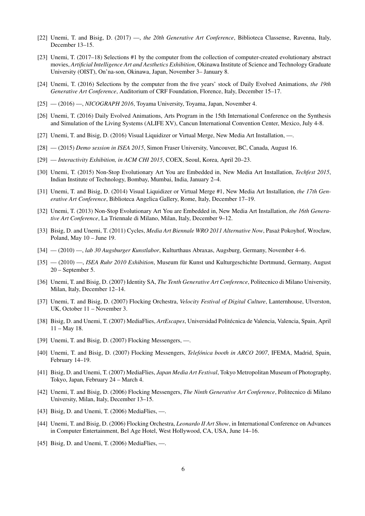- [22] Unemi, T. and Bisig, D. (2017) —, *the 20th Generative Art Conference*, Biblioteca Classense, Ravenna, Italy, December 13–15.
- [23] Unemi, T. (2017–18) Selections #1 by the computer from the collection of computer-created evolutionary abstract movies, *Artificial Intelligence Art and Aesthetics Exhibition*, Okinawa Institute of Science and Technology Graduate University (OIST), On'na-son, Okinawa, Japan, November 3– January 8.
- [24] Unemi, T. (2016) Selections by the computer from the five years' stock of Daily Evolved Animations, *the 19th Generative Art Conference*, Auditorium of CRF Foundation, Florence, Italy, December 15–17.
- [25] (2016) —, *NICOGRAPH 2016*, Toyama University, Toyama, Japan, November 4.
- [26] Unemi, T. (2016) Daily Evolved Animations, Arts Program in the 15th International Conference on the Synthesis and Simulation of the Living Systems (ALIFE XV), Cancun International Convention Center, Mexico, July 4-8.
- [27] Unemi, T. and Bisig, D. (2016) Visual Liquidizer or Virtual Merge, New Media Art Installation, —.
- [28] (2015) *Demo session in ISEA 2015*, Simon Fraser University, Vancouver, BC, Canada, August 16.
- [29] *Interactivity Exhibition, in ACM CHI 2015*, COEX, Seoul, Korea, April 20–23.
- [30] Unemi, T. (2015) Non-Stop Evolutionary Art You are Embedded in, New Media Art Installation, *Techfest 2015*, Indian Institute of Technology, Bombay, Mumbai, India, January 2–4.
- [31] Unemi, T. and Bisig, D. (2014) Visual Liquidizer or Virtual Merge #1, New Media Art Installation, *the 17th Generative Art Conference*, Biblioteca Angelica Gallery, Rome, Italy, December 17–19.
- [32] Unemi, T. (2013) Non-Stop Evolutionary Art You are Embedded in, New Media Art Installation, *the 16th Generative Art Conference*, La Triennale di Milano, Milan, Italy, December 9–12.
- [33] Bisig, D. and Unemi, T. (2011) Cycles, *Media Art Biennale WRO 2011 Alternative Now*, Pasaz Pokoyhof, Wrocław, ˙ Poland, May 10 – June 19.
- [34] (2010) —, *lab 30 Augsburger Kunstlabor*, Kulturthaus Abraxas, Augsburg, Germany, November 4–6.
- [35] (2010) —, *ISEA Ruhr 2010 Exhibition*, Museum für Kunst und Kulturgeschichte Dortmund, Germany, August 20 – September 5.
- [36] Unemi, T. and Bisig, D. (2007) Identity SA, *The Tenth Generative Art Conference*, Politecnico di Milano University, Milan, Italy, December 12–14.
- [37] Unemi, T. and Bisig, D. (2007) Flocking Orchestra, *Velocity Festival of Digital Culture*, Lanternhouse, Ulverston, UK, October 11 – November 3.
- [38] Bisig, D. and Unemi, T. (2007) MediaFlies, *ArtEscapes*, Universidad Politecnica de Valencia, Valencia, Spain, April ´ 11 – May 18.
- [39] Unemi, T. and Bisig, D. (2007) Flocking Messengers, —.
- [40] Unemi, T. and Bisig, D. (2007) Flocking Messengers, *Telefónica booth in ARCO 2007*, IFEMA, Madrid, Spain, February 14–19.
- [41] Bisig, D. and Unemi, T. (2007) MediaFlies, *Japan Media Art Festival*, Tokyo Metropolitan Museum of Photography, Tokyo, Japan, February 24 – March 4.
- [42] Unemi, T. and Bisig, D. (2006) Flocking Messengers, *The Ninth Generative Art Conference*, Politecnico di Milano University, Milan, Italy, December 13–15.
- [43] Bisig, D. and Unemi, T. (2006) MediaFlies, —.
- [44] Unemi, T. and Bisig, D. (2006) Flocking Orchestra, *Leonardo II Art Show*, in International Conference on Advances in Computer Entertainment, Bel Age Hotel, West Hollywood, CA, USA, June 14–16.
- [45] Bisig, D. and Unemi, T. (2006) MediaFlies, —.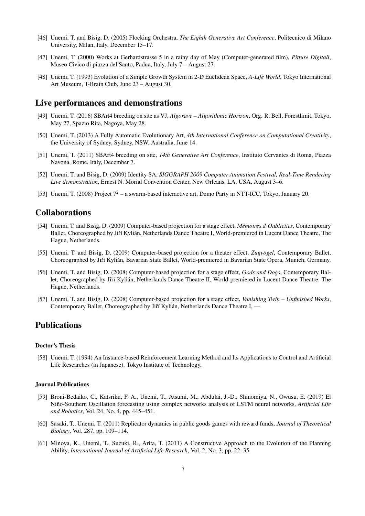- [46] Unemi, T. and Bisig, D. (2005) Flocking Orchestra, *The Eighth Generative Art Conference*, Politecnico di Milano University, Milan, Italy, December 15–17.
- [47] Unemi, T. (2000) Works at Gerhardstrasse 5 in a rainy day of May (Computer-generated film), *Pitture Digitali*, Museo Civico di piazza del Santo, Padua, Italy, July 7 – August 27.
- [48] Unemi, T. (1993) Evolution of a Simple Growth System in 2-D Euclidean Space, *A-Life World*, Tokyo International Art Museum, T-Brain Club, June 23 – August 30.

# Live performances and demonstrations

- [49] Unemi, T. (2016) SBArt4 breeding on site as VJ, *Algorave Algorithmic Horizon*, Org. R. Bell, Forestlimit, Tokyo, May 27, Spazio Rita, Nagoya, May 28.
- [50] Unemi, T. (2013) A Fully Automatic Evolutionary Art, *4th International Conference on Computational Creativity*, the University of Sydney, Sydney, NSW, Australia, June 14.
- [51] Unemi, T. (2011) SBArt4 breeding on site, *14th Generative Art Conference*, Instituto Cervantes di Roma, Piazza Navona, Rome, Italy, December 7.
- [52] Unemi, T. and Bisig, D. (2009) Identity SA, *SIGGRAPH 2009 Computer Animation Festival, Real-Time Rendering Live demonstration*, Ernest N. Morial Convention Center, New Orleans, LA, USA, August 3–6.
- [53] Unemi, T. (2008) Project  $7^2$  a swarm-based interactive art, Demo Party in NTT-ICC, Tokyo, January 20.

# Collaborations

- [54] Unemi, T. and Bisig, D. (2009) Computer-based projection for a stage effect, *Mémoires d'Oubliettes*, Contemporary Ballet, Choreographed by Jiří Kylián, Netherlands Dance Theatre I, World-premiered in Lucent Dance Theatre, The Hague, Netherlands.
- [55] Unemi, T. and Bisig, D. (2009) Computer-based projection for a theater effect, *Zugvögel*, Contemporary Ballet, Choreographed by Jiří Kylián, Bavarian State Ballet, World-premiered in Bavarian State Opera, Munich, Germany.
- [56] Unemi, T. and Bisig, D. (2008) Computer-based projection for a stage effect, *Gods and Dogs*, Contemporary Ballet, Choreographed by Jiří Kylián, Netherlands Dance Theatre II, World-premiered in Lucent Dance Theatre, The Hague, Netherlands.
- [57] Unemi, T. and Bisig, D. (2008) Computer-based projection for a stage effect, *Vanishing Twin Unfinished Works*, Contemporary Ballet, Choreographed by Jiří Kylián, Netherlands Dance Theatre I, —.

# Publications

### Doctor's Thesis

[58] Unemi, T. (1994) An Instance-based Reinforcement Learning Method and Its Applications to Control and Artificial Life Researches (in Japanese). Tokyo Institute of Technology.

### Journal Publications

- [59] Broni-Bedaiko, C., Katsriku, F. A., Unemi, T., Atsumi, M., Abdulai, J.-D., Shinomiya, N., Owusu, E. (2019) El Niño-Southern Oscillation forecasting using complex networks analysis of LSTM neural networks, *Artificial Life and Robotics*, Vol. 24, No. 4, pp. 445–451.
- [60] Sasaki, T., Unemi, T. (2011) Replicator dynamics in public goods games with reward funds, *Journal of Theoretical Biology*, Vol. 287, pp. 109–114.
- [61] Minoya, K., Unemi, T., Suzuki, R., Arita, T. (2011) A Constructive Approach to the Evolution of the Planning Ability, *International Journal of Artificial Life Research*, Vol. 2, No. 3, pp. 22–35.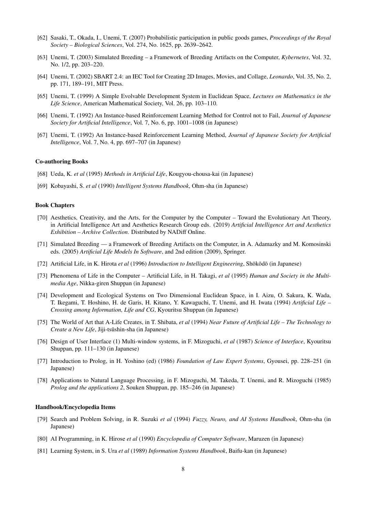- [62] Sasaki, T., Okada, I., Unemi, T. (2007) Probabilistic participation in public goods games, *Proceedings of the Royal Society – Biological Sciences*, Vol. 274, No. 1625, pp. 2639–2642.
- [63] Unemi, T. (2003) Simulated Breeding a Framework of Breeding Artifacts on the Computer, *Kybernetes*, Vol. 32, No. 1/2, pp. 203–220.
- [64] Unemi, T. (2002) SBART 2.4: an IEC Tool for Creating 2D Images, Movies, and Collage, *Leonardo*, Vol. 35, No. 2, pp. 171, 189–191, MIT Press.
- [65] Unemi, T. (1999) A Simple Evolvable Development System in Euclidean Space, *Lectures on Mathematics in the Life Science*, American Mathematical Society, Vol. 26, pp. 103–110.
- [66] Unemi, T. (1992) An Instance-based Reinforcement Learning Method for Control not to Fail, *Journal of Japanese Society for Artificial Intelligence*, Vol. 7, No. 6, pp. 1001–1008 (in Japanese)
- [67] Unemi, T. (1992) An Instance-based Reinforcement Learning Method, *Journal of Japanese Society for Artificial Intelligence*, Vol. 7, No. 4, pp. 697–707 (in Japanese)

#### Co-authoring Books

- [68] Ueda, K. *et al* (1995) *Methods in Artificial Life*, Kougyou-chousa-kai (in Japanese)
- [69] Kobayashi, S. *et al* (1990) *Intelligent Systems Handbook*, Ohm-sha (in Japanese)

#### Book Chapters

- [70] Aesthetics, Creativity, and the Arts, for the Computer by the Computer Toward the Evolutionary Art Theory, in Artificial Intelligence Art and Aesthetics Research Group eds. (2019) *Artificial Intelligence Art and Aesthetics Exhibition – Archive Collection*. Distributed by NADiff Online.
- [71] Simulated Breeding a Framework of Breeding Artifacts on the Computer, in A. Adamazky and M. Komosinski eds. (2005) *Artificial Life Models In Software*, and 2nd edition (2009), Springer.
- [72] Artificial Life, in K. Hirota et al (1996) *Introduction to Intelligent Engineering*, Shōkōdō (in Japanese)
- [73] Phenomena of Life in the Computer Artificial Life, in H. Takagi, *et al* (1995) *Human and Society in the Multimedia Age*, Nikka-giren Shuppan (in Japanese)
- [74] Development and Ecological Systems on Two Dimensional Euclidean Space, in I. Aizu, O. Sakura, K. Wada, T. Ikegami, T. Hoshino, H. de Garis, H. Kitano, Y. Kawaguchi, T. Unemi, and H. Iwata (1994) *Artificial Life – Crossing among Information, Life and CG*, Kyouritsu Shuppan (in Japanese)
- [75] The World of Art that A-Life Creates, in T. Shibata, *et al* (1994) *Near Future of Artificial Life The Technology to Create a New Life*, Jiji-tsushin-sha (in Japanese)
- [76] Design of User Interface (1) Multi-window systems, in F. Mizoguchi, *et al* (1987) *Science of Interface*, Kyouritsu Shuppan, pp. 111–130 (in Japanese)
- [77] Introduction to Prolog, in H. Yoshino (ed) (1986) *Foundation of Law Expert Systems*, Gyousei, pp. 228–251 (in Japanese)
- [78] Applications to Natural Language Processing, in F. Mizoguchi, M. Takeda, T. Unemi, and R. Mizoguchi (1985) *Prolog and the applications 2*, Souken Shuppan, pp. 185–246 (in Japanese)

### Handbook/Encyclopedia Items

- [79] Search and Problem Solving, in R. Suzuki *et al* (1994) *Fuzzy, Neuro, and AI Systems Handbook*, Ohm-sha (in Japanese)
- [80] AI Programming, in K. Hirose *et al* (1990) *Encyclopedia of Computer Software*, Maruzen (in Japanese)
- [81] Learning System, in S. Ura *et al* (1989) *Information Systems Handbook*, Baifu-kan (in Japanese)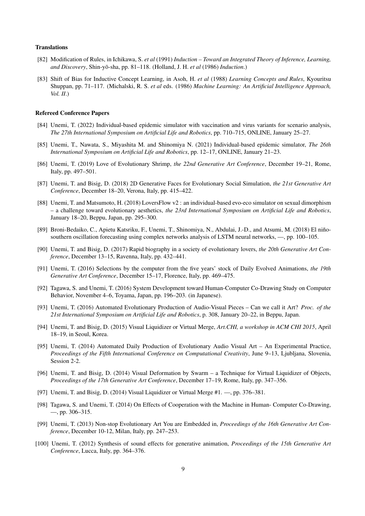#### Translations

- [82] Modification of Rules, in Ichikawa, S. *et al* (1991) *Induction Toward an Integrated Theory of Inference, Learning,* and Discovery, Shin-yō-sha, pp. 81–118. (Holland, J. H. et al (1986) Induction.)
- [83] Shift of Bias for Inductive Concept Learning, in Asoh, H. *et al* (1988) *Learning Concepts and Rules*, Kyouritsu Shuppan, pp. 71–117. (Michalski, R. S. *et al* eds. (1986) *Machine Learning: An Artificial Intelligence Approach, Vol. II*.)

#### Refereed Conference Papers

- [84] Unemi, T. (2022) Individual-based epidemic simulator with vaccination and virus variants for scenario analysis, *The 27th International Symposium on Artificial Life and Robotics*, pp. 710–715, ONLINE, January 25–27.
- [85] Unemi, T., Nawata, S., Miyashita M. and Shinomiya N. (2021) Individual-based epidemic simulator, *The 26th International Symposium on Artificial Life and Robotics*, pp. 12–17, ONLINE, January 21–23.
- [86] Unemi, T. (2019) Love of Evolutionary Shrimp, *the 22nd Generative Art Conference*, December 19–21, Rome, Italy, pp. 497–501.
- [87] Unemi, T. and Bisig, D. (2018) 2D Generative Faces for Evolutionary Social Simulation, *the 21st Generative Art Conference*, December 18–20, Verona, Italy, pp. 415–422.
- [88] Unemi, T. and Matsumoto, H. (2018) LoversFlow v2 : an individual-based evo-eco simulator on sexual dimorphism – a challenge toward evolutionary aesthetics, *the 23rd International Symposium on Artificial Life and Robotics*, January 18–20, Beppu, Japan, pp. 295–300.
- [89] Broni-Bedaiko, C., Apietu Katsriku, F., Unemi, T., Shinomiya, N., Abdulai, J.-D., and Atsumi, M. (2018) El niñosouthern oscillation forecasting using complex networks analysis of LSTM neural networks, —, pp. 100–105.
- [90] Unemi, T. and Bisig, D. (2017) Rapid biography in a society of evolutionary lovers, *the 20th Generative Art Conference*, December 13–15, Ravenna, Italy, pp. 432–441.
- [91] Unemi, T. (2016) Selections by the computer from the five years' stock of Daily Evolved Animations, *the 19th Generative Art Conference*, December 15–17, Florence, Italy, pp. 469–475.
- [92] Tagawa, S. and Unemi, T. (2016) System Development toward Human-Computer Co-Drawing Study on Computer Behavior, November 4–6, Toyama, Japan, pp. 196–203. (in Japanese).
- [93] Unemi, T. (2016) Automated Evolutionary Production of Audio-Visual Pieces Can we call it Art? *Proc. of the 21st International Symposium on Artificial Life and Robotics*, p. 308, January 20–22, in Beppu, Japan.
- [94] Unemi, T. and Bisig, D. (2015) Visual Liquidizer or Virtual Merge, *Art.CHI, a workshop in ACM CHI 2015*, April 18–19, in Seoul, Korea.
- [95] Unemi, T. (2014) Automated Daily Production of Evolutionary Audio Visual Art An Experimental Practice, *Proceedings of the Fifth International Conference on Computational Creativity*, June 9–13, Ljubljana, Slovenia, Session 2-2.
- [96] Unemi, T. and Bisig, D. (2014) Visual Deformation by Swarm a Technique for Virtual Liquidizer of Objects, *Proceedings of the 17th Generative Art Conference*, December 17–19, Rome, Italy, pp. 347–356.
- [97] Unemi, T. and Bisig, D. (2014) Visual Liquidizer or Virtual Merge #1. —, pp. 376–381.
- [98] Tagawa, S. and Unemi, T. (2014) On Effects of Cooperation with the Machine in Human- Computer Co-Drawing, —, pp. 306–315.
- [99] Unemi, T. (2013) Non-stop Evolutionary Art You are Embedded in, *Proceedings of the 16th Generative Art Conference*, December 10-12, Milan, Italy, pp. 247–253.
- [100] Unemi, T. (2012) Synthesis of sound effects for generative animation, *Proceedings of the 15th Generative Art Conference*, Lucca, Italy, pp. 364–376.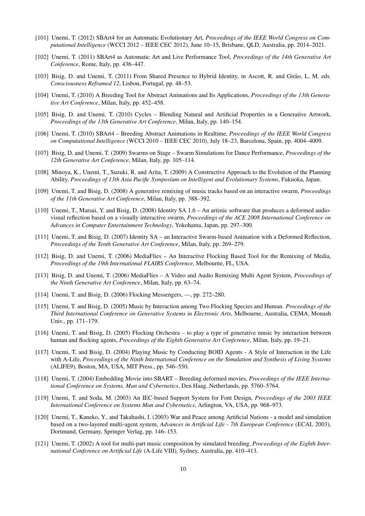- [101] Unemi, T. (2012) SBArt4 for an Automatic Evolutionary Art, *Proceedings of the IEEE World Congress on Computational Intelligence* (WCCI 2012 – IEEE CEC 2012), June 10–15, Brisbane, QLD, Australia, pp. 2014–2021.
- [102] Unemi, T. (2011) SBArt4 as Automatic Art and Live Performance Tool, *Proceedings of the 14th Generative Art Conference*, Rome, Italy, pp. 436–447.
- [103] Bisig, D. and Unemi, T. (2011) From Shared Presence to Hybrid Identity, in Ascott, R. and Girão, L. M. eds. *Consciousness Reframed 12*, Lisbon, Portugal, pp. 48–53.
- [104] Unemi, T. (2010) A Breeding Tool for Abstract Animations and Its Applications, *Proceedings of the 13th Generative Art Conference*, Milan, Italy, pp. 452–458.
- [105] Bisig, D. and Unemi, T. (2010) Cycles Blending Natural and Artificial Properties in a Generative Artwork, *Proceedings of the 13th Generative Art Conference*, Milan, Italy, pp. 140–154.
- [106] Unemi, T. (2010) SBArt4 Breeding Abstract Animations in Realtime, *Proceedings of the IEEE World Congress on Computational Intelligence* (WCCI 2010 – IEEE CEC 2010), July 18–23, Barcelona, Spain, pp. 4004–4009.
- [107] Bisig, D. and Unemi, T. (2009) Swarms on Stage Swarm Simulations for Dance Performance, *Proceedings of the 12th Generative Art Conference*, Milan, Italy, pp. 105–114.
- [108] Minoya, K., Unemi, T., Suzuki, R. and Arita, T. (2009) A Constructive Approach to the Evolution of the Planning Ability, *Proceedings of 13th Asia Pacific Symposium on Intelligent and Evolutionary Systems*, Fukuoka, Japan.
- [109] Unemi, T. and Bisig, D. (2008) A generative remixing of music tracks based on an interactive swarm, *Proceedings of the 11th Generative Art Conference*, Milan, Italy, pp. 388–392.
- [110] Unemi, T., Matsui, Y. and Bisig, D. (2008) Identity SA 1.6 An artistic software that produces a deformed audiovisual reflection based on a visually interactive swarm, *Proceedings of the ACE 2008 International Conference on Advances in Computer Entertainment Technology*, Yokohama, Japan, pp. 297–300.
- [111] Unemi, T. and Bisig, D. (2007) Identity SA an Interactive Swarm-based Animation with a Deformed Reflection, *Proceedings of the Tenth Generative Art Conference*, Milan, Italy, pp. 269–279.
- [112] Bisig, D. and Unemi, T. (2006) MediaFlies An Interactive Flocking Based Tool for the Remixing of Media, *Proceedings of the 19th International FLAIRS Conference*, Melbourne, FL, USA.
- [113] Bisig, D. and Unemi, T. (2006) MediaFlies A Video and Audio Remixing Multi Agent System, *Proceedings of the Ninth Generative Art Conference*, Milan, Italy, pp. 63–74.
- [114] Unemi, T. and Bisig, D. (2006) Flocking Messengers, —, pp. 272–280.
- [115] Unemi, T. and Bisig, D. (2005) Music by Interaction among Two Flocking Species and Human. *Proceedings of the Third International Conference on Generative Systems in Electronic Arts*, Melbourne, Australia, CEMA, Monash Univ., pp. 171–179.
- [116] Unemi, T. and Bisig, D. (2005) Flocking Orchestra to play a type of generative music by interaction between human and flocking agents, *Proceedings of the Eighth Generative Art Conference*, Milan, Italy, pp. 19–21.
- [117] Unemi, T. and Bisig, D. (2004) Playing Music by Conducting BOID Agents A Style of Interaction in the Life with A-Life, *Proceedings of the Ninth International Conference on the Simulation and Synthesis of Living Systems* (ALIFE9), Boston, MA, USA, MIT Press., pp. 546–550.
- [118] Unemi, T. (2004) Embedding Movie into SBART Breeding deformed movies, *Proceedings of the IEEE International Conference on Systems, Man and Cybernetics*, Den Haag, Netherlands, pp. 5760–5764.
- [119] Unemi, T. and Soda, M. (2003) An IEC-based Support System for Font Design, *Proceedings of the 2003 IEEE International Conference on Systems Man and Cybernetics*, Arlington, VA, USA, pp. 968–973.
- [120] Unemi, T., Kaneko, Y., and Takahashi, I. (2003) War and Peace among Artificial Nations a model and simulation based on a two-layered multi-agent system, *Advances in Artificial Life - 7th European Conference* (ECAL 2003), Dortmund, Germany, Springer Verlag, pp. 146–153.
- [121] Unemi, T. (2002) A tool for multi-part music composition by simulated breeding, *Proceedings of the Eighth International Conference on Artificial Life* (A-Life VIII), Sydney, Australia, pp. 410–413.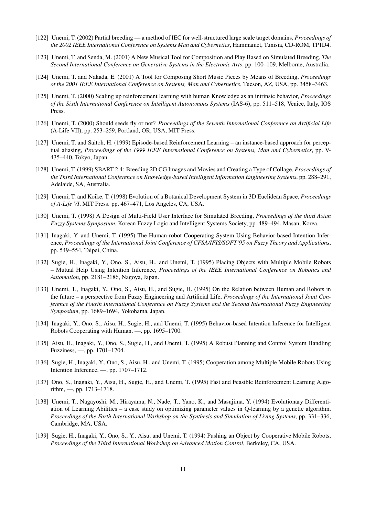- [122] Unemi, T. (2002) Partial breeding a method of IEC for well-structured large scale target domains, *Proceedings of the 2002 IEEE International Conference on Systems Man and Cybernetics*, Hammamet, Tunisia, CD-ROM, TP1D4.
- [123] Unemi, T. and Senda, M. (2001) A New Musical Tool for Composition and Play Based on Simulated Breeding, *The Second International Conference on Generative Systems in the Electronic Arts*, pp. 100–109, Melborne, Australia.
- [124] Unemi, T. and Nakada, E. (2001) A Tool for Composing Short Music Pieces by Means of Breeding, *Proceedings of the 2001 IEEE International Conference on Systems, Man and Cybernetics*, Tucson, AZ, USA, pp. 3458–3463.
- [125] Unemi, T. (2000) Scaling up reinforcement learning with human Knowledge as an intrinsic behavior, *Proceedings of the Sixth International Conference on Intelligent Autonomous Systems* (IAS-6), pp. 511–518, Venice, Italy, IOS Press.
- [126] Unemi, T. (2000) Should seeds fly or not? *Proceedings of the Seventh International Conference on Artificial Life* (A-Life VII), pp. 253–259, Portland, OR, USA, MIT Press.
- [127] Unemi, T. and Saitoh, H. (1999) Episode-based Reinforcement Learning an instance-based approach for perceptual aliasing, *Proceedings of the 1999 IEEE International Conference on Systems, Man and Cybernetics*, pp. V-435–440, Tokyo, Japan.
- [128] Unemi, T. (1999) SBART 2.4: Breeding 2D CG Images and Movies and Creating a Type of Collage, *Proceedings of the Third International Conference on Knowledge-based Intelligent Information Engineering Systems*, pp. 288–291, Adelaide, SA, Australia.
- [129] Unemi, T. and Koike, T. (1998) Evolution of a Botanical Development System in 3D Euclidean Space, *Proceedings of A-Life VI*, MIT Press. pp. 467–471, Los Angeles, CA, USA.
- [130] Unemi, T. (1998) A Design of Multi-Field User Interface for Simulated Breeding, *Proceedings of the third Asian Fuzzy Systems Symposium*, Korean Fuzzy Logic and Intelligent Systems Society, pp. 489–494, Masan, Korea.
- [131] Inagaki, Y. and Unemi, T. (1995) The Human-robot Cooperating System Using Behavior-based Intention Inference, *Proceedings of the International Joint Conference of CFSA/IFIS/SOFT'95 on Fuzzy Theory and Applications*, pp. 549–554, Taipei, China.
- [132] Sugie, H., Inagaki, Y., Ono, S., Aisu, H., and Unemi, T. (1995) Placing Objects with Multiple Mobile Robots – Mutual Help Using Intention Inference, *Proceedings of the IEEE International Conference on Robotics and Automation*, pp. 2181–2186, Nagoya, Japan.
- [133] Unemi, T., Inagaki, Y., Ono, S., Aisu, H., and Sugie, H. (1995) On the Relation between Human and Robots in the future – a perspective from Fuzzy Engineering and Artificial Life, *Proceedings of the International Joint Conference of the Fourth International Conference on Fuzzy Systems and the Second International Fuzzy Engineering Symposium*, pp. 1689–1694, Yokohama, Japan.
- [134] Inagaki, Y., Ono, S., Aisu, H., Sugie, H., and Unemi, T. (1995) Behavior-based Intention Inference for Intelligent Robots Cooperating with Human, —, pp. 1695–1700.
- [135] Aisu, H., Inagaki, Y., Ono, S., Sugie, H., and Unemi, T. (1995) A Robust Planning and Control System Handling Fuzziness, —, pp. 1701–1704.
- [136] Sugie, H., Inagaki, Y., Ono, S., Aisu, H., and Unemi, T. (1995) Cooperation among Multiple Mobile Robots Using Intention Inference, —, pp. 1707–1712.
- [137] Ono, S., Inagaki, Y., Aisu, H., Sugie, H., and Unemi, T. (1995) Fast and Feasible Reinforcement Learning Algorithm, —, pp. 1713–1718.
- [138] Unemi, T., Nagayoshi, M., Hirayama, N., Nade, T., Yano, K., and Masujima, Y. (1994) Evolutionary Differentiation of Learning Abilities – a case study on optimizing parameter values in Q-learning by a genetic algorithm, *Proceedings of the Forth International Workshop on the Synthesis and Simulation of Living Systems*, pp. 331–336, Cambridge, MA, USA.
- [139] Sugie, H., Inagaki, Y., Ono, S., Y., Aisu, and Unemi, T. (1994) Pushing an Object by Cooperative Mobile Robots, *Proceedings of the Third International Workshop on Advanced Motion Control*, Berkeley, CA, USA.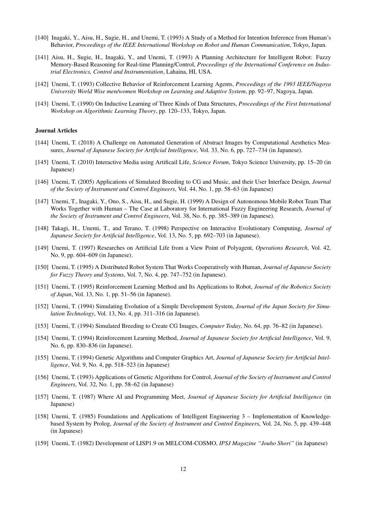- [140] Inagaki, Y., Aisu, H., Sugie, H., and Unemi, T. (1993) A Study of a Method for Intention Inference from Human's Behavior, *Proceedings of the IEEE International Workshop on Robot and Human Communication*, Tokyo, Japan.
- [141] Aisu, H., Sugie, H., Inagaki, Y., and Unemi, T. (1993) A Planning Architecture for Intelligent Robot: Fuzzy Memory-Based Reasoning for Real-time Planning/Control, *Proceedings of the International Conference on Industrial Electronics, Control and Instrumentation*, Lahaina, HI, USA.
- [142] Unemi, T. (1993) Collective Behavior of Reinforcement Learning Agents, *Proceedings of the 1993 IEEE/Nagoya University World Wise men/women Workshop on Learning and Adaptive System*, pp. 92–97, Nagoya, Japan.
- [143] Unemi, T. (1990) On Inductive Learning of Three Kinds of Data Structures, *Proceedings of the First International Workshop on Algorithmic Learning Theory*, pp. 120–133, Tokyo, Japan.

### Journal Articles

- [144] Unemi, T. (2018) A Challenge on Automated Generation of Abstract Images by Computational Aesthetics Measures, *Journal of Japanese Society for Artificial Intelligence*, Vol. 33, No. 6, pp. 727–734 (in Japanese).
- [145] Unemi, T. (2010) Interactive Media using Artificail Life, *Science Forum*, Tokyo Science University, pp. 15–20 (in Japanese)
- [146] Unemi, T. (2005) Applications of Simulated Breeding to CG and Music, and their User Interface Design, *Journal of the Society of Instrument and Control Engineers*, Vol. 44, No. 1, pp. 58–63 (in Japanese)
- [147] Unemi, T., Inagaki, Y., Ono, S., Aisu, H., and Sugie, H. (1999) A Design of Autonomous Mobile Robot Team That Works Together with Human – The Case at Laboratory for International Fuzzy Engineering Research, *Journal of the Society of Instrument and Control Engineers*, Vol. 38, No. 6, pp. 385–389 (in Japanese).
- [148] Takagi, H., Unemi, T., and Terano, T. (1998) Perspective on Interactive Evolutionary Computing, *Journal of Japanese Society for Artificial Intelligence*, Vol. 13, No. 5, pp. 692–703 (in Japanese).
- [149] Unemi, T. (1997) Researches on Artificial Life from a View Point of Polyagent, *Operations Research*, Vol. 42, No. 9, pp. 604–609 (in Japanese).
- [150] Unemi, T. (1995) A Distributed Robot System That Works Cooperatively with Human, *Journal of Japanese Society for Fuzzy Theory and Systems*, Vol. 7, No. 4, pp. 747–752 (in Japanese).
- [151] Unemi, T. (1995) Reinforcement Learning Method and Its Applications to Robot, *Journal of the Robotics Society of Japan*, Vol. 13, No. 1, pp. 51–56 (in Japanese).
- [152] Unemi, T. (1994) Simulating Evolution of a Simple Development System, *Journal of the Japan Society for Simulation Technology*, Vol. 13, No. 4, pp. 311–316 (in Japanese).
- [153] Unemi, T. (1994) Simulated Breeding to Create CG Images, *Computer Today*, No. 64, pp. 76–82 (in Japanese).
- [154] Unemi, T. (1994) Reinforcement Learning Method, *Journal of Japanese Society for Artificial Intelligence*, Vol. 9, No. 6, pp. 830–836 (in Japanese).
- [155] Unemi, T. (1994) Genetic Algorithms and Computer Graphics Art, *Journal of Japanese Society for Artificial Intelligence*, Vol. 9, No. 4, pp. 518–523 (in Japanese)
- [156] Unemi, T. (1993) Applications of Genetic Algorithms for Control, *Journal of the Society of Instrument and Control Engineers*, Vol. 32, No. 1, pp. 58–62 (in Japanese)
- [157] Unemi, T. (1987) Where AI and Programming Meet, *Journal of Japanese Society for Artificial Intelligence* (in Japanese)
- [158] Unemi, T. (1985) Foundations and Applications of Intelligent Engineering 3 Implementation of Knowledgebased System by Prolog, *Journal of the Society of Instrument and Control Engineers*, Vol. 24, No. 5, pp. 439–448 (in Japanese)
- [159] Unemi, T. (1982) Development of LISP1.9 on MELCOM-COSMO, *IPSJ Magazine "Jouho Shori"* (in Japanese)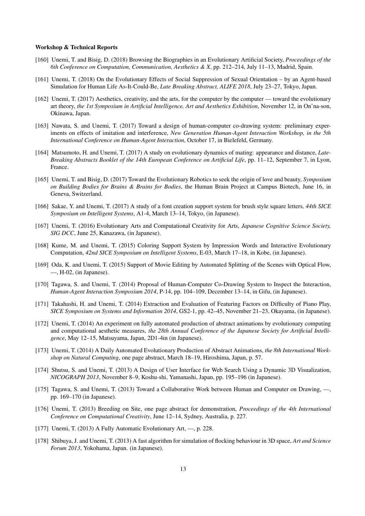#### Workshop & Technical Reports

- [160] Unemi, T. and Bisig, D. (2018) Browsing the Biographies in an Evolutionary Artificial Society, *Proceedings of the 6th Conference on Computation, Communication, Aesthetics & X*, pp. 212–214, July 11–13, Madrid, Spain.
- [161] Unemi, T. (2018) On the Evolutionary Effects of Social Suppression of Sexual Orientation by an Agent-based Simulation for Human Life As-It-Could-Be, *Late Breaking Abstract, ALIFE 2018*, July 23–27, Tokyo, Japan.
- [162] Unemi, T. (2017) Aesthetics, creativity, and the arts, for the computer by the computer toward the evolutionary art theory, *the 1st Symposium in Artificial Intelligence, Art and Aesthetics Exhibition*, November 12, in On'na-son, Okinawa, Japan.
- [163] Nawata, S. and Unemi, T. (2017) Toward a design of human-computer co-drawing system: preliminary experiments on effects of imitation and interference, *New Generation Human-Agent Interaction Workshop, in the 5th International Conference on Human-Agent Interaction*, October 17, in Bielefeld, Germany.
- [164] Matsumoto, H. and Unemi, T. (2017) A study on evolutionary dynamics of mating: appearance and distance, *Late-Breaking Abstracts Booklet of the 14th European Conference on Artificial Life*, pp. 11–12, September 7, in Lyon, France.
- [165] Unemi, T. and Bisig, D. (2017) Toward the Evolutionary Robotics to seek the origin of love and beauty, *Symposium on Building Bodies for Brains & Brains for Bodies*, the Human Brain Project at Campus Biotech, June 16, in Geneva, Switzerland.
- [166] Sakae, Y. and Unemi, T. (2017) A study of a font creation support system for brush style square letters, *44th SICE Symposium on Intelligent Systems*, A1-4, March 13–14, Tokyo, (in Japanese).
- [167] Unemi, T. (2016) Evolutionary Arts and Computational Creativity for Arts, *Japanese Cognitive Science Society, SIG DCC*, June 25, Kanazawa, (in Japanese).
- [168] Kume, M. and Unemi, T. (2015) Coloring Support System by Impression Words and Interactive Evolutionary Computation, *42nd SICE Symposium on Intelligent Systems*, E-03, March 17–18, in Kobe, (in Japanese).
- [169] Oda, K. and Unemi, T. (2015) Support of Movie Editing by Automated Splitting of the Scenes with Optical Flow, —, H-02, (in Japanese).
- [170] Tagawa, S. and Unemi, T. (2014) Proposal of Human-Computer Co-Drawing System to Inspect the Interaction, *Human-Agent Interaction Symposium 2014*, P-14, pp. 104–109, December 13–14, in Gifu, (in Japanese).
- [171] Takahashi, H. and Unemi, T. (2014) Extraction and Evaluation of Featuring Factors on Difficulty of Piano Play, *SICE Symposium on Systems and Information 2014*, GS2-1, pp. 42–45, November 21–23, Okayama, (in Japanese).
- [172] Unemi, T. (2014) An experiment on fully automated production of abstract animations by evolutionary computing and computational aesthetic measures, *the 28th Annual Conference of the Japanese Society for Artificial Intelligence*, May 12–15, Matsuyama, Japan, 2D1-4in (in Japanese).
- [173] Unemi, T. (2014) A Daily Automated Evolutionary Production of Abstract Animations, *the 8th International Workshop on Natural Computing*, one page abstract, March 18–19, Hiroshima, Japan, p. 57.
- [174] Shutsu, S. and Unemi, T. (2013) A Design of User Interface for Web Search Using a Dynamic 3D Visualization, *NICOGRAPH 2013*, November 8–9, Koshu-shi, Yamanashi, Japan, pp. 195–196 (in Japanese).
- [175] Tagawa, S. and Unemi, T. (2013) Toward a Collaborative Work between Human and Computer on Drawing, —, pp. 169–170 (in Japanese).
- [176] Unemi, T. (2013) Breeding on Site, one page abstract for demonstration, *Proceedings of the 4th International Conference on Computational Creativity*, June 12–14, Sydney, Australia, p. 227.
- [177] Unemi, T. (2013) A Fully Automatic Evolutionary Art, -, p. 228.
- [178] Shibuya, J. and Unemi, T. (2013) A fast algorithm for simulation of flocking behaviour in 3D space, *Art and Science Forum 2013*, Yokohama, Japan. (in Japanese).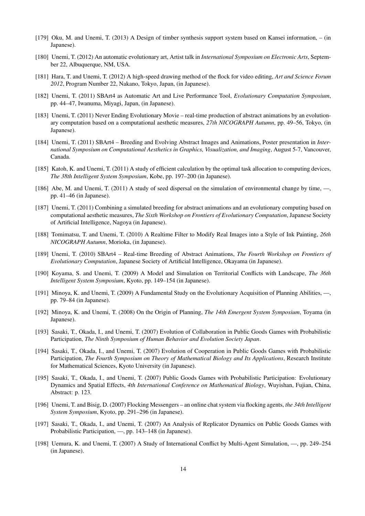- [179] Oku, M. and Unemi, T. (2013) A Design of timber synthesis support system based on Kansei information, (in Japanese).
- [180] Unemi, T. (2012) An automatic evolutionary art, Artist talk in *International Symposium on Electronic Arts*, September 22, Albuquerque, NM, USA.
- [181] Hara, T. and Unemi, T. (2012) A high-speed drawing method of the flock for video editing, *Art and Science Forum 2012*, Program Number 22, Nakano, Tokyo, Japan, (in Japanese).
- [182] Unemi, T. (2011) SBArt4 as Automatic Art and Live Performance Tool, *Evolutionary Computation Symposium*, pp. 44–47, Iwanuma, Miyagi, Japan, (in Japanese).
- [183] Unemi, T. (2011) Never Ending Evolutionary Movie real-time production of abstract animations by an evolutionary computation based on a computational aesthetic measures, *27th NICOGRAPH Autumn*, pp. 49–56, Tokyo, (in Japanese).
- [184] Unemi, T. (2011) SBArt4 Breeding and Evolving Abstract Images and Animations, Poster presentation in *International Symposium on Computational Aesthetics in Graphics, Visualization, and Imaging*, August 5-7, Vancouver, Canada.
- [185] Katoh, K. and Unemi, T. (2011) A study of efficient calculation by the optimal task allocation to computing devices, *The 38th Intelligent System Symposium*, Kobe, pp. 197–200 (in Japanese).
- [186] Abe, M. and Unemi, T. (2011) A study of seed dispersal on the simulation of environmental change by time, —, pp. 41–46 (in Japanese).
- [187] Unemi, T. (2011) Combining a simulated breeding for abstract animations and an evolutionary computing based on computational aesthetic measures, *The Sixth Workshop on Frontiers of Evolutionary Computation*, Japanese Society of Artificial Intelligence, Nagoya (in Japanese).
- [188] Tomimatsu, T. and Unemi, T. (2010) A Realtime Filter to Modify Real Images into a Style of Ink Painting, *26th NICOGRAPH Autumn*, Morioka, (in Japanese).
- [189] Unemi, T. (2010) SBArt4 Real-time Breeding of Abstract Animations, *The Fourth Workshop on Frontiers of Evolutionary Computation*, Japanese Society of Artificial Intelligence, Okayama (in Japanese).
- [190] Koyama, S. and Unemi, T. (2009) A Model and Simulation on Territorial Conflicts with Landscape, *The 36th Intelligent System Symposium*, Kyoto, pp. 149–154 (in Japanese).
- [191] Minoya, K. and Unemi, T. (2009) A Fundamental Study on the Evolutionary Acquisition of Planning Abilities, —, pp. 79–84 (in Japanese).
- [192] Minoya, K. and Unemi, T. (2008) On the Origin of Planning, *The 14th Emergent System Symposium*, Toyama (in Japanese).
- [193] Sasaki, T., Okada, I., and Unemi, T. (2007) Evolution of Collaboration in Public Goods Games with Probabilistic Participation, *The Ninth Symposium of Human Behavior and Evolution Society Japan*.
- [194] Sasaki, T., Okada, I., and Unemi, T. (2007) Evolution of Cooperation in Public Goods Games with Probabilistic Participation, *The Fourth Symposium on Theory of Mathematical Biology and Its Applications*, Research Institute for Mathematical Sciences, Kyoto University (in Japanese).
- [195] Sasaki, T., Okada, I., and Unemi, T. (2007) Public Goods Games with Probabilistic Participation: Evolutionary Dynamics and Spatial Effects, *4th International Conference on Mathematical Biology*, Wuyishan, Fujian, China, Abstract: p. 123.
- [196] Unemi, T. and Bisig, D. (2007) Flocking Messengers an online chat system via flocking agents, *the 34th Intelligent System Symposium*, Kyoto, pp. 291–296 (in Japanese).
- [197] Sasaki, T., Okada, I., and Unemi, T. (2007) An Analysis of Replicator Dynamics on Public Goods Games with Probabilistic Participation, —, pp. 143–148 (in Japanese).
- [198] Uemura, K. and Unemi, T. (2007) A Study of International Conflict by Multi-Agent Simulation, —, pp. 249–254 (in Japanese).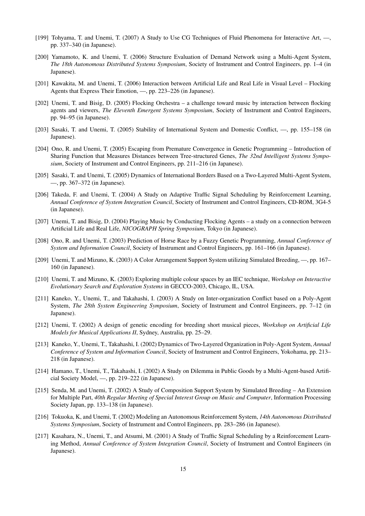- [199] Tohyama, T. and Unemi, T. (2007) A Study to Use CG Techniques of Fluid Phenomena for Interactive Art, —, pp. 337–340 (in Japanese).
- [200] Yamamoto, K. and Unemi, T. (2006) Structure Evaluation of Demand Network using a Multi-Agent System, *The 18th Autonomous Distributed Systems Symposium*, Society of Instrument and Control Engineers, pp. 1–4 (in Japanese).
- [201] Kawakita, M. and Unemi, T. (2006) Interaction between Artificial Life and Real Life in Visual Level Flocking Agents that Express Their Emotion, —, pp. 223–226 (in Japanese).
- [202] Unemi, T. and Bisig, D. (2005) Flocking Orchestra a challenge toward music by interaction between flocking agents and viewers, *The Eleventh Emergent Systems Symposium*, Society of Instrument and Control Engineers, pp. 94–95 (in Japanese).
- [203] Sasaki, T. and Unemi, T. (2005) Stability of International System and Domestic Conflict, —, pp. 155–158 (in Japanese).
- [204] Ono, R. and Unemi, T. (2005) Escaping from Premature Convergence in Genetic Programming Introduction of Sharing Function that Measures Distances between Tree-structured Genes, *The 32nd Intelligent Systems Symposium*, Society of Instrument and Control Engineers, pp. 211–216 (in Japanese).
- [205] Sasaki, T. and Unemi, T. (2005) Dynamics of International Borders Based on a Two-Layered Multi-Agent System, —, pp. 367–372 (in Japanese).
- [206] Takeda, F. and Unemi, T. (2004) A Study on Adaptive Traffic Signal Scheduling by Reinforcement Learning, *Annual Conference of System Integration Council*, Society of Instrument and Control Engineers, CD-ROM, 3G4-5 (in Japanese).
- [207] Unemi, T. and Bisig, D. (2004) Playing Music by Conducting Flocking Agents a study on a connection between Artificial Life and Real Life, *NICOGRAPH Spring Symposium*, Tokyo (in Japanese).
- [208] Ono, R. and Unemi, T. (2003) Prediction of Horse Race by a Fuzzy Genetic Programming, *Annual Conference of System and Information Council*, Society of Instrument and Control Engineers, pp. 161–166 (in Japanese).
- [209] Unemi, T. and Mizuno, K. (2003) A Color Arrangement Support System utilizing Simulated Breeding, —, pp. 167– 160 (in Japanese).
- [210] Unemi, T. and Mizuno, K. (2003) Exploring multiple colour spaces by an IEC technique, *Workshop on Interactive Evolutionary Search and Exploration Systems* in GECCO-2003, Chicago, IL, USA.
- [211] Kaneko, Y., Unemi, T., and Takahashi, I. (2003) A Study on Inter-organization Conflict based on a Poly-Agent System, *The 28th System Engineering Symposium*, Society of Instrument and Control Engineers, pp. 7–12 (in Japanese).
- [212] Unemi, T. (2002) A design of genetic encoding for breeding short musical pieces, *Workshop on Artificial Life Models for Musical Applications II*, Sydney, Australia, pp. 25–29.
- [213] Kaneko, Y., Unemi, T., Takahashi, I. (2002) Dynamics of Two-Layered Organization in Poly-Agent System, *Annual Conference of System and Information Council*, Society of Instrument and Control Engineers, Yokohama, pp. 213– 218 (in Japanese).
- [214] Hamano, T., Unemi, T., Takahashi, I. (2002) A Study on Dilemma in Public Goods by a Multi-Agent-based Artificial Society Model, —, pp. 219–222 (in Japanese).
- [215] Senda, M. and Unemi, T. (2002) A Study of Composition Support System by Simulated Breeding An Extension for Multiple Part, *40th Regular Meeting of Special Interest Group on Music and Computer*, Information Processing Society Japan, pp. 133–138 (in Japanese).
- [216] Tokuoka, K, and Unemi, T. (2002) Modeling an Autonomous Reinforcement System, *14th Autonomous Distributed Systems Symposium*, Society of Instrument and Control Engineers, pp. 283–286 (in Japanese).
- [217] Kasahara, N., Unemi, T., and Atsumi, M. (2001) A Study of Traffic Signal Scheduling by a Reinforcement Learning Method, *Annual Conference of System Integration Council*, Society of Instrument and Control Engineers (in Japanese).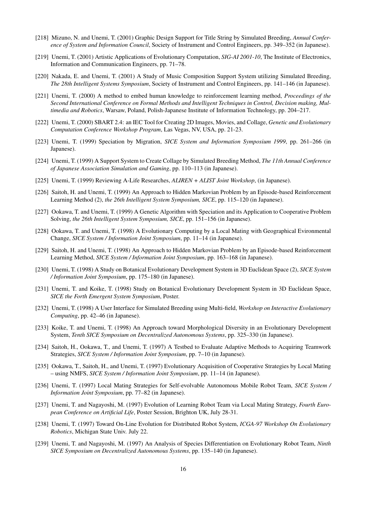- [218] Mizuno, N. and Unemi, T. (2001) Graphic Design Support for Title String by Simulated Breeding, *Annual Conference of System and Information Council*, Society of Instrument and Control Engineers, pp. 349–352 (in Japanese).
- [219] Unemi, T. (2001) Artistic Applications of Evolutionary Computation, *SIG-AI 2001-10*, The Institute of Electronics, Information and Communication Engineers, pp. 71–78.
- [220] Nakada, E. and Unemi, T. (2001) A Study of Music Composition Support System utilizing Simulated Breeding, *The 28th Intelligent Systems Symposium*, Society of Instrument and Control Engineers, pp. 141–146 (in Japanese).
- [221] Unemi, T. (2000) A method to embed human knowledge to reinforcement learning method, *Proceedings of the Second International Conference on Formal Methods and Intelligent Techniques in Control, Decision making, Multimedia and Robotics*, Warsaw, Poland, Polish-Japanese Institute of Information Technology, pp. 204–217.
- [222] Unemi, T. (2000) SBART 2.4: an IEC Tool for Creating 2D Images, Movies, and Collage, *Genetic and Evolutionary Computation Conference Workshop Program*, Las Vegas, NV, USA, pp. 21-23.
- [223] Unemi, T. (1999) Speciation by Migration, *SICE System and Information Symposium 1999*, pp. 261–266 (in Japanese).
- [224] Unemi, T. (1999) A Support System to Create Collage by Simulated Breeding Method, *The 11th Annual Conference of Japanese Association Simulation and Gaming*, pp. 110–113 (in Japanese).
- [225] Unemi, T. (1999) Reviewing A-Life Researches, *ALIREN + ALIST Joint Workshop*, (in Japanese).
- [226] Saitoh, H. and Unemi, T. (1999) An Approach to Hidden Markovian Problem by an Episode-based Reinforcement Learning Method (2), *the 26th Intelligent System Symposium, SICE*, pp. 115–120 (in Japanese).
- [227] Ookawa, T. and Unemi, T. (1999) A Genetic Algorithm with Speciation and its Application to Cooperative Problem Solving, *the 26th Intelligent System Symposium, SICE*, pp. 151–156 (in Japanese).
- [228] Ookawa, T. and Unemi, T. (1998) A Evolutionary Computing by a Local Mating with Geographical Evironmental Change, *SICE System / Information Joint Symposium*, pp. 11–14 (in Japanese).
- [229] Saitoh, H. and Unemi, T. (1998) An Approach to Hidden Markovian Problem by an Episode-based Reinforcement Learning Method, *SICE System / Information Joint Symposium*, pp. 163–168 (in Japanese).
- [230] Unemi, T. (1998) A Study on Botanical Evolutionary Development System in 3D Euclidean Space (2), *SICE System / Information Joint Symposium*, pp. 175–180 (in Japanese).
- [231] Unemi, T. and Koike, T. (1998) Study on Botanical Evolutionary Development System in 3D Euclidean Space, *SICE the Forth Emergent System Symposium*, Poster.
- [232] Unemi, T. (1998) A User Interface for Simulated Breeding using Multi-field, *Workshop on Interactive Evolutionary Computing*, pp. 42–46 (in Japanese).
- [233] Koike, T. and Unemi, T. (1998) An Approach toward Morphological Diversity in an Evolutionary Development System, *Tenth SICE Symposium on Decentralized Autonomous Systems*, pp. 325–330 (in Japanese).
- [234] Saitoh, H., Ookawa, T., and Unemi, T. (1997) A Testbed to Evaluate Adaptive Methods to Acquiring Teamwork Strategies, *SICE System / Information Joint Symposium*, pp. 7–10 (in Japanese).
- [235] Ookawa, T., Saitoh, H., and Unemi, T. (1997) Evolutionary Acquisition of Cooperative Strategies by Local Mating – using NMFS, *SICE System / Information Joint Symposium*, pp. 11–14 (in Japanese).
- [236] Unemi, T. (1997) Local Mating Strategies for Self-evolvable Autonomous Mobile Robot Team, *SICE System / Information Joint Symposium*, pp. 77–82 (in Japanese).
- [237] Unemi, T. and Nagayoshi, M. (1997) Evolution of Learning Robot Team via Local Mating Strategy, *Fourth European Conference on Artificial Life*, Poster Session, Brighton UK, July 28-31.
- [238] Unemi, T. (1997) Toward On-Line Evolution for Distributed Robot System, *ICGA-97 Workshop On Evolutionary Robotics*, Michigan State Univ. July 22.
- [239] Unemi, T. and Nagayoshi, M. (1997) An Analysis of Species Differentiation on Evolutionary Robot Team, *Ninth SICE Symposium on Decentralized Autonomous Systems*, pp. 135–140 (in Japanese).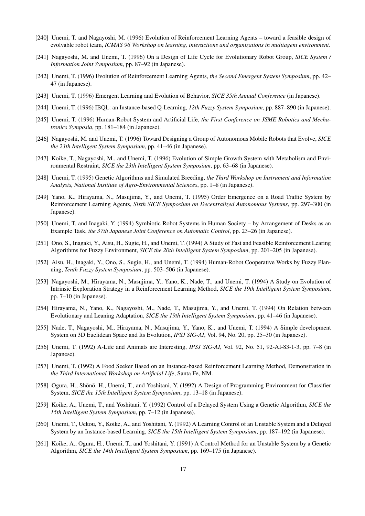- [240] Unemi, T. and Nagayoshi, M. (1996) Evolution of Reinforcement Learning Agents toward a feasible design of evolvable robot team, *ICMAS 96 Workshop on learning, interactions and organizations in multiagent environment*.
- [241] Nagayoshi, M. and Unemi, T. (1996) On a Design of Life Cycle for Evolutionary Robot Group, *SICE System / Information Joint Symposium*, pp. 87–92 (in Japanese).
- [242] Unemi, T. (1996) Evolution of Reinforcement Learning Agents, *the Second Emergent System Symposium*, pp. 42– 47 (in Japanese).
- [243] Unemi, T. (1996) Emergent Learning and Evolution of Behavior, *SICE 35th Annual Conference* (in Japanese).
- [244] Unemi, T. (1996) IBQL: an Instance-based Q-Learning, *12th Fuzzy System Symposium*, pp. 887–890 (in Japanese).
- [245] Unemi, T. (1996) Human-Robot System and Artificial Life, *the First Conference on JSME Robotics and Mechatronics Symposia*, pp. 181–184 (in Japanese).
- [246] Nagayoshi, M. and Unemi, T. (1996) Toward Designing a Group of Autonomous Mobile Robots that Evolve, *SICE the 23th Intelligent System Symposium*, pp. 41–46 (in Japanese).
- [247] Koike, T., Nagayoshi, M., and Unemi, T. (1996) Evolution of Simple Growth System with Metabolism and Environmental Restraint, *SICE the 23th Intelligent System Symposium*, pp. 63–68 (in Japanese).
- [248] Unemi, T. (1995) Genetic Algorithms and Simulated Breeding, *the Third Workshop on Instrument and Information Analysis, National Institute of Agro-Environmental Sciences*, pp. 1–8 (in Japanese).
- [249] Yano, K., Hirayama, N., Masujima, Y., and Unemi, T. (1995) Order Emergence on a Road Traffic System by Reinforcement Learning Agents, *Sixth SICE Symposium on Decentralized Autonomous Systems*, pp. 297–300 (in Japanese).
- [250] Unemi, T. and Inagaki, Y. (1994) Symbiotic Robot Systems in Human Society by Arrangement of Desks as an Example Task, *the 37th Japanese Joint Conference on Automatic Control*, pp. 23–26 (in Japanese).
- [251] Ono, S., Inagaki, Y., Aisu, H., Sugie, H., and Unemi, T. (1994) A Study of Fast and Feasible Reinforcement Learing Algorithms for Fuzzy Environment, *SICE the 20th Intelligent System Symposium*, pp. 201–205 (in Japanese).
- [252] Aisu, H., Inagaki, Y., Ono, S., Sugie, H., and Unemi, T. (1994) Human-Robot Cooperative Works by Fuzzy Planning, *Tenth Fuzzy System Symposium*, pp. 503–506 (in Japanese).
- [253] Nagayoshi, M., Hirayama, N., Masujima, Y., Yano, K., Nade, T., and Unemi, T. (1994) A Study on Evolution of Intrinsic Exploration Strategy in a Reinforcement Learning Method, *SICE the 19th Intelligent System Symposium*, pp. 7–10 (in Japanese).
- [254] Hirayama, N., Yano, K., Nagayoshi, M., Nade, T., Masujima, Y., and Unemi, T. (1994) On Relation between Evolutionary and Leaning Adaptation, *SICE the 19th Intelligent System Symposium*, pp. 41–46 (in Japanese).
- [255] Nade, T., Nagayoshi, M., Hirayama, N., Masujima, Y., Yano, K., and Unemi, T. (1994) A Simple development System on 3D Euclidean Space and Its Evolution, *IPSJ SIG-AI*, Vol. 94, No. 20, pp. 25–30 (in Japanese).
- [256] Unemi, T. (1992) A-Life and Animats are Interesting, *IPSJ SIG-AI*, Vol. 92, No. 51, 92-AI-83-1-3, pp. 7–8 (in Japanese).
- [257] Unemi, T. (1992) A Food Seeker Based on an Instance-based Reinforcement Learning Method, Demonstration in *the Third International Workshop on Artificial Life*, Santa Fe, NM.
- [258] Ogura, H., Shōnō, H., Unemi, T., and Yoshitani, Y. (1992) A Design of Programming Environment for Classifier System, *SICE the 15th Intelligent System Symposium*, pp. 13–18 (in Japanese).
- [259] Koike, A., Unemi, T., and Yoshitani, Y. (1992) Control of a Delayed System Using a Genetic Algorithm, *SICE the 15th Intelligent System Symposium*, pp. 7–12 (in Japanese).
- [260] Unemi, T., Uekou, Y., Koike, A., and Yoshitani, Y. (1992) A Learning Control of an Unstable System and a Delayed System by an Instance-based Learning, *SICE the 15th Intelligent System Symposium*, pp. 187–192 (in Japanese).
- [261] Koike, A., Ogura, H., Unemi, T., and Yoshitani, Y. (1991) A Control Method for an Unstable System by a Genetic Algorithm, *SICE the 14th Intelligent System Symposium*, pp. 169–175 (in Japanese).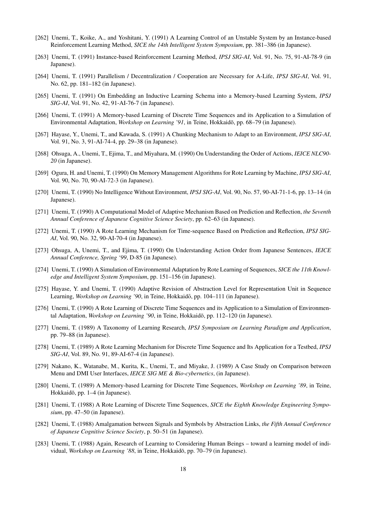- [262] Unemi, T., Koike, A., and Yoshitani, Y. (1991) A Learning Control of an Unstable System by an Instance-based Reinforcement Learning Method, *SICE the 14th Intelligent System Symposium*, pp. 381–386 (in Japanese).
- [263] Unemi, T. (1991) Instance-based Reinforcement Learning Method, *IPSJ SIG-AI*, Vol. 91, No. 75, 91-AI-78-9 (in Japanese).
- [264] Unemi, T. (1991) Parallelism / Decentralization / Cooperation are Necessary for A-Life, *IPSJ SIG-AI*, Vol. 91, No. 62, pp. 181–182 (in Japanese).
- [265] Unemi, T. (1991) On Embedding an Inductive Learning Schema into a Memory-based Learning System, *IPSJ SIG-AI*, Vol. 91, No. 42, 91-AI-76-7 (in Japanese).
- [266] Unemi, T. (1991) A Memory-based Learning of Discrete Time Sequences and its Application to a Simulation of Environmental Adaptation, *Workshop on Learning '91*, in Teine, Hokkaido, pp. 68–79 (in Japanese). ¯
- [267] Hayase, Y., Unemi, T., and Kawada, S. (1991) A Chunking Mechanism to Adapt to an Environment, *IPSJ SIG-AI*, Vol. 91, No. 3, 91-AI-74-4, pp. 29–38 (in Japanese).
- [268] Ohsuga, A., Unemi, T., Ejima, T., and Miyahara, M. (1990) On Understanding the Order of Actions, *IEICE NLC90- 20* (in Japanese).
- [269] Ogura, H. and Unemi, T. (1990) On Memory Management Algorithms for Rote Learning by Machine, *IPSJ SIG-AI*, Vol. 90, No. 70, 90-AI-72-3 (in Japanese).
- [270] Unemi, T. (1990) No Intelligence Without Environment, *IPSJ SIG-AI*, Vol. 90, No. 57, 90-AI-71-1-6, pp. 13–14 (in Japanese).
- [271] Unemi, T. (1990) A Computational Model of Adaptive Mechanism Based on Prediction and Reflection, *the Seventh Annual Conference of Japanese Cognitive Science Society*, pp. 62–63 (in Japanese).
- [272] Unemi, T. (1990) A Rote Learning Mechanism for Time-sequence Based on Prediction and Reflection, *IPSJ SIG-AI*, Vol. 90, No. 32, 90-AI-70-4 (in Japanese).
- [273] Ohsuga, A, Unemi, T., and Ejima, T. (1990) On Understanding Action Order from Japanese Sentences, *IEICE Annual Conference, Spring '99*, D-85 (in Japanese).
- [274] Unemi, T. (1990) A Simulation of Environmental Adaptation by Rote Learning of Sequences, *SICE the 11th Knowledge and Intelligent System Symposium*, pp. 151–156 (in Japanese).
- [275] Hayase, Y. and Unemi, T. (1990) Adaptive Revision of Abstraction Level for Representation Unit in Sequence Learning, *Workshop on Learning '90*, in Teine, Hokkaidō, pp. 104–111 (in Japanese).
- [276] Unemi, T. (1990) A Rote Learning of Discrete Time Sequences and its Application to a Simulation of Environmental Adaptation, *Workshop on Learning '90*, in Teine, Hokkaidō, pp. 112–120 (in Japanese).
- [277] Unemi, T. (1989) A Taxonomy of Learning Research, *IPSJ Symposium on Learning Paradigm and Application*, pp. 79–88 (in Japanese).
- [278] Unemi, T. (1989) A Rote Learning Mechanism for Discrete Time Sequence and Its Application for a Testbed, *IPSJ SIG-AI*, Vol. 89, No. 91, 89-AI-67-4 (in Japanese).
- [279] Nakano, K., Watanabe, M., Kurita, K., Unemi, T., and Miyake, J. (1989) A Case Study on Comparison between Menu and DMI User Interfaces, *IEICE SIG ME & Bio-cybernetics*, (in Japanese).
- [280] Unemi, T. (1989) A Memory-based Learning for Discrete Time Sequences, *Workshop on Learning '89*, in Teine, Hokkaidō, pp. 1–4 (in Japanese).
- [281] Unemi, T. (1988) A Rote Learning of Discrete Time Sequences, *SICE the Eighth Knowledge Engineering Symposium*, pp. 47–50 (in Japanese).
- [282] Unemi, T. (1988) Amalgamation between Signals and Symbols by Abstraction Links, *the Fifth Annual Conference of Japanese Cognitive Science Society*, p. 50–51 (in Japanese).
- [283] Unemi, T. (1988) Again, Research of Learning to Considering Human Beings toward a learning model of individual, *Workshop on Learning '88*, in Teine, Hokkaidō, pp. 70–79 (in Japanese).